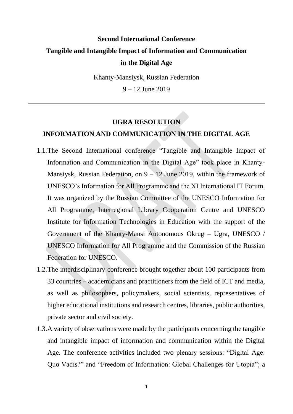## **Second International Conference Tangible and Intangible Impact of Information and Communication in the Digital Age**

Khanty-Mansiysk, Russian Federation

9 – 12 June 2019

## **UGRA RESOLUTION**

## **INFORMATION AND COMMUNICATION IN THE DIGITAL AGE**

- 1.1.The Second International conference "Tangible and Intangible Impact of Information and Communication in the Digital Age" took place in Khanty-Mansiysk, Russian Federation, on 9 – 12 June 2019, within the framework of UNESCO's Information for All Programme and the XI International IT Forum. It was organized by the Russian Committee of the UNESCO Information for All Programme, Interregional Library Cooperation Centre and UNESCO Institute for Information Technologies in Education with the support of the Government of the Khanty-Mansi Autonomous Okrug – Ugra, UNESCO / UNESCO Information for All Programme and the Commission of the Russian Federation for UNESCO.
- 1.2.The interdisciplinary conference brought together about 100 participants from 33 countries – academicians and practitioners from the field of ICT and media, as well as philosophers, policymakers, social scientists, representatives of higher educational institutions and research centres, libraries, public authorities, private sector and civil society.
- 1.3.A variety of observations were made by the participants concerning the tangible and intangible impact of information and communication within the Digital Age. The conference activities included two plenary sessions: "Digital Age: Quo Vadis?" and "Freedom of Information: Global Challenges for Utopia"; a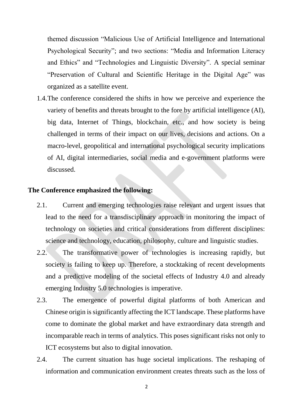themed discussion "Malicious Use of Artificial Intelligence and International Psychological Security"; and two sections: "Media and Information Literacy and Ethics" and "Technologies and Linguistic Diversity". A special seminar "Preservation of Cultural and Scientific Heritage in the Digital Age" was organized as a satellite event.

1.4.The conference considered the shifts in how we perceive and experience the variety of benefits and threats brought to the fore by artificial intelligence (AI), big data, Internet of Things, blockchain, etc., and how society is being challenged in terms of their impact on our lives, decisions and actions. On a macro-level, geopolitical and international psychological security implications of AI, digital intermediaries, social media and e-government platforms were discussed.

## **The Conference emphasized the following:**

- 2.1. Current and emerging technologies raise relevant and urgent issues that lead to the need for a transdisciplinary approach in monitoring the impact of technology on societies and critical considerations from different disciplines: science and technology, education, philosophy, culture and linguistic studies.
- 2.2. The transformative power of technologies is increasing rapidly, but society is failing to keep up. Therefore, a stocktaking of recent developments and a predictive modeling of the societal effects of Industry 4.0 and already emerging Industry 5.0 technologies is imperative.
- 2.3. The emergence of powerful digital platforms of both American and Chinese origin is significantly affecting the ICT landscape. These platforms have come to dominate the global market and have extraordinary data strength and incomparable reach in terms of analytics. This poses significant risks not only to ICT ecosystems but also to digital innovation.
- 2.4. The current situation has huge societal implications. The reshaping of information and communication environment creates threats such as the loss of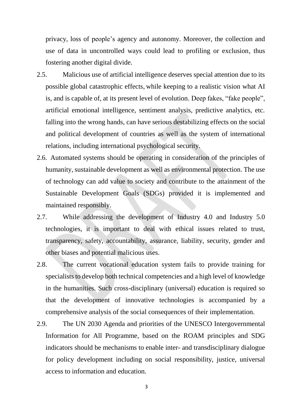privacy, loss of people's agency and autonomy. Moreover, the collection and use of data in uncontrolled ways could lead to profiling or exclusion, thus fostering another digital divide.

- 2.5. Malicious use of artificial intelligence deserves special attention due to its possible global catastrophic effects, while keeping to a realistic vision what AI is, and is capable of, at its present level of evolution. Deep fakes, "fake people", artificial emotional intelligence, sentiment analysis, predictive analytics, etc. falling into the wrong hands, can have serious destabilizing effects on the social and political development of countries as well as the system of international relations, including international psychological security.
- 2.6. Automated systems should be operating in consideration of the principles of humanity, sustainable development as well as environmental protection. The use of technology can add value to society and contribute to the attainment of the Sustainable Development Goals (SDGs) provided it is implemented and maintained responsibly.
- 2.7. While addressing the development of Industry 4.0 and Industry 5.0 technologies, it is important to deal with ethical issues related to trust, transparency, safety, accountability, assurance, liability, security, gender and other biases and potential malicious uses.
- 2.8. The current vocational education system fails to provide training for specialists to develop both technical competencies and a high level of knowledge in the humanities. Such cross-disciplinary (universal) education is required so that the development of innovative technologies is accompanied by a comprehensive analysis of the social consequences of their implementation.
- 2.9. The UN 2030 Agenda and priorities of the UNESCO Intergovernmental Information for All Programme, based on the ROAM principles and SDG indicators should be mechanisms to enable inter- and transdisciplinary dialogue for policy development including on social responsibility, justice, universal access to information and education.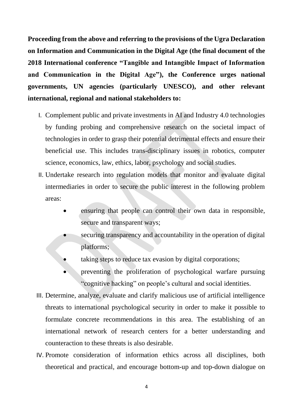**Proceeding from the above and referring to the provisions of the Ugra Declaration on Information and Communication in the Digital Age (the final document of the 2018 International conference "Tangible and Intangible Impact of Information and Communication in the Digital Age"), the Conference urges national governments, UN agencies (particularly UNESCO), and other relevant international, regional and national stakeholders to:**

- I. Complement public and private investments in AI and Industry 4.0 technologies by funding probing and comprehensive research on the societal impact of technologies in order to grasp their potential detrimental effects and ensure their beneficial use. This includes trans-disciplinary issues in robotics, computer science, economics, law, ethics, labor, psychology and social studies.
- II. Undertake research into regulation models that monitor and evaluate digital intermediaries in order to secure the public interest in the following problem areas:
	- ensuring that people can control their own data in responsible, secure and transparent ways;
	- securing transparency and accountability in the operation of digital platforms;
	- taking steps to reduce tax evasion by digital corporations;
	- preventing the proliferation of psychological warfare pursuing "cognitive hacking" on people's cultural and social identities.
- III. Determine, analyze, evaluate and clarify malicious use of artificial intelligence threats to international psychological security in order to make it possible to formulate concrete recommendations in this area. The establishing of an international network of research centers for a better understanding and counteraction to these threats is also desirable.
- IV. Promote consideration of information ethics across all disciplines, both theoretical and practical, and encourage bottom-up and top-down dialogue on